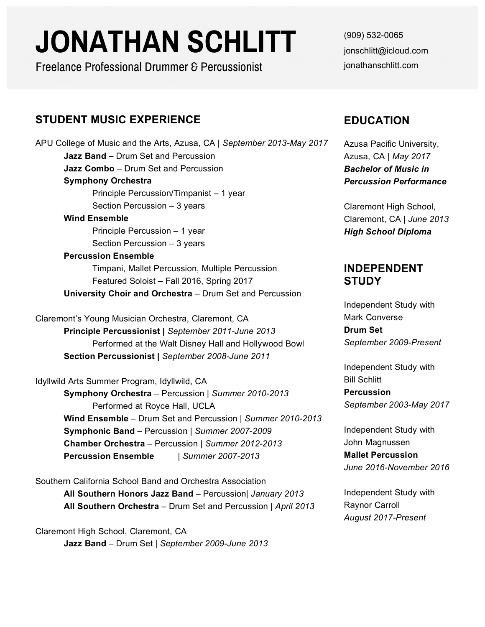# **JONATHAN SCHLITT**

Freelance Professional Drummer & Percussionist

# **STUDENT MUSIC EXPERIENCE**

APU College of Music and the Arts, Azusa, CA | *September 2013-May 2017* **Jazz Band** – Drum Set and Percussion **Jazz Combo** – Drum Set and Percussion **Symphony Orchestra** Principle Percussion/Timpanist – 1 year Section Percussion – 3 years **Wind Ensemble** Principle Percussion – 1 year Section Percussion – 3 years **Percussion Ensemble** Timpani, Mallet Percussion, Multiple Percussion Featured Soloist – Fall 2016, Spring 2017 **University Choir and Orchestra** – Drum Set and Percussion Claremont's Young Musician Orchestra, Claremont, CA **Principle Percussionist |** *September 2011-June 2013* Performed at the Walt Disney Hall and Hollywood Bowl **Section Percussionist |** *September 2008-June 2011* Idyllwild Arts Summer Program, Idyllwild, CA **Symphony Orchestra** – Percussion | *Summer 2010-2013* Performed at Royce Hall, UCLA **Wind Ensemble** – Drum Set and Percussion | *Summer 2010-2013* **Symphonic Band** – Percussion | *Summer 2007-2009* **Chamber Orchestra** – Percussion | *Summer 2012-2013* **Percussion Ensemble** | *Summer 2007-2013*

Southern California School Band and Orchestra Association **All Southern Honors Jazz Band** – Percussion| *January 2013* **All Southern Orchestra** – Drum Set and Percussion | *April 2013*

Claremont High School, Claremont, CA **Jazz Band** – Drum Set | *September 2009-June 2013*

(909) 532-0065 jonschlitt@icloud.com jonathanschlitt.com

# **EDUCATION**

Azusa Pacific University, Azusa, CA | *May 2017 Bachelor of Music in Percussion Performance*

Claremont High School, Claremont, CA | *June 2013 High School Diploma*

### **INDEPENDENT STUDY**

Independent Study with Mark Converse **Drum Set** *September 2009-Present*

Independent Study with Bill Schlitt **Percussion** *September 2003-May 2017*

Independent Study with John Magnussen **Mallet Percussion** *June 2016-November 2016*

Independent Study with Raynor Carroll *August 2017-Present*